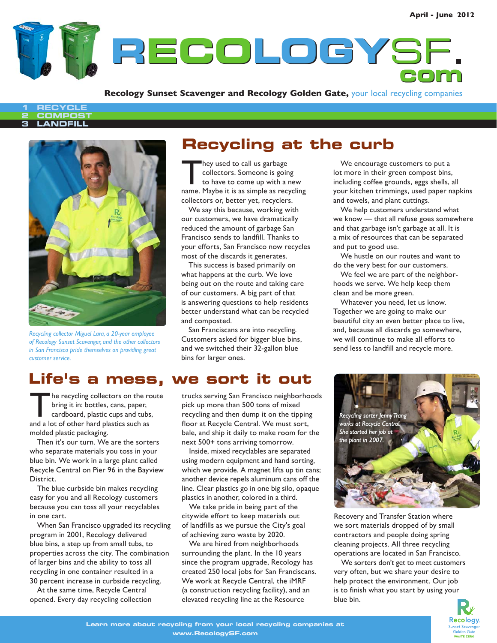**RECOLOGY ECOLOGY**SF**. com**

#### **Recology Sunset Scavenger and Recology Golden Gate,** your local recycling companies

#### **1 RECYCLE 2 COMPOST 3 LANDFILL**



*Recycling collector Miguel Lara, a 20-year employee of Recology Sunset Scavenger, and the other collectors in San Francisco pride themselves on providing great customer service.*

### **Life's a mess, we sort it out**

The recycling collectors on the route bring it in: bottles, cans, paper, cardboard, plastic cups and tubs, and a lot of other hard plastics such as molded plastic packaging.

Then it's our turn. We are the sorters who separate materials you toss in your blue bin. We work in a large plant called Recycle Central on Pier 96 in the Bayview District.

The blue curbside bin makes recycling easy for you and all Recology customers because you can toss all your recyclables in one cart.

When San Francisco upgraded its recycling program in 2001, Recology delivered blue bins, a step up from small tubs, to properties across the city. The combination of larger bins and the ability to toss all recycling in one container resulted in a 30 percent increase in curbside recycling.

At the same time, Recycle Central opened. Every day recycling collection

#### **Recycling at the curb**

They used to call us garbage<br>collectors. Someone is goin<br>to have to come up with a recently collectors. Someone is going to have to come up with a new name. Maybe it is as simple as recycling collectors or, better yet, recyclers.

We say this because, working with our customers, we have dramatically reduced the amount of garbage San Francisco sends to landfill. Thanks to your efforts, San Francisco now recycles most of the discards it generates.

This success is based primarily on what happens at the curb. We love being out on the route and taking care of our customers. A big part of that is answering questions to help residents better understand what can be recycled and composted.

San Franciscans are into recycling. Customers asked for bigger blue bins, and we switched their 32-gallon blue bins for larger ones.

trucks serving San Francisco neighborhoods pick up more than 500 tons of mixed recycling and then dump it on the tipping

floor at Recycle Central. We must sort, bale, and ship it daily to make room for the next 500+ tons arriving tomorrow.

Inside, mixed recyclables are separated using modern equipment and hand sorting, which we provide. A magnet lifts up tin cans; another device repels aluminum cans off the line. Clear plastics go in one big silo, opaque plastics in another, colored in a third.

We take pride in being part of the citywide effort to keep materials out of landfills as we pursue the City's goal of achieving zero waste by 2020.

We are hired from neighborhoods surrounding the plant. In the 10 years since the program upgrade, Recology has created 250 local jobs for San Franciscans. We work at Recycle Central, the iMRF (a construction recycling facility), and an elevated recycling line at the Resource

We encourage customers to put a lot more in their green compost bins, including coffee grounds, eggs shells, all your kitchen trimmings, used paper napkins and towels, and plant cuttings.

We help customers understand what we know — that all refuse goes somewhere and that garbage isn't garbage at all. It is a mix of resources that can be separated and put to good use.

We hustle on our routes and want to do the very best for our customers.

We feel we are part of the neighborhoods we serve. We help keep them clean and be more green.

Whatever you need, let us know. Together we are going to make our beautiful city an even better place to live, and, because all discards go somewhere, we will continue to make all efforts to send less to landfill and recycle more.



Recovery and Transfer Station where we sort materials dropped of by small contractors and people doing spring cleaning projects. All three recycling operations are located in San Francisco.

We sorters don't get to meet customers very often, but we share your desire to help protect the environment. Our job is to finish what you start by using your blue bin.



**Learn more about recycling from your local recycling companies at www.RecologySF.com**